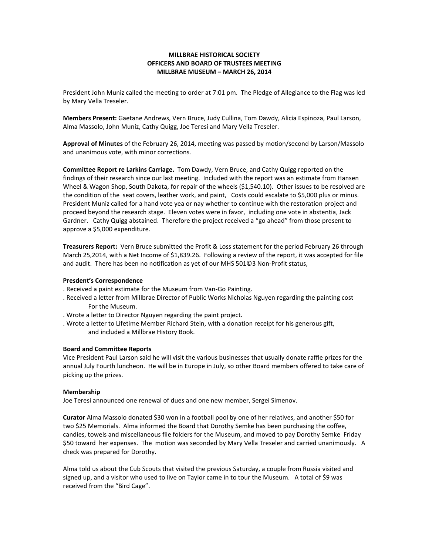# MILLBRAE HISTORICAL SOCIETY OFFICERS AND BOARD OF TRUSTEES MEETING MILLBRAE MUSEUM – MARCH 26, 2014

President John Muniz called the meeting to order at 7:01 pm. The Pledge of Allegiance to the Flag was led by Mary Vella Treseler.

Members Present: Gaetane Andrews, Vern Bruce, Judy Cullina, Tom Dawdy, Alicia Espinoza, Paul Larson, Alma Massolo, John Muniz, Cathy Quigg, Joe Teresi and Mary Vella Treseler.

Approval of Minutes of the February 26, 2014, meeting was passed by motion/second by Larson/Massolo and unanimous vote, with minor corrections.

Committee Report re Larkins Carriage. Tom Dawdy, Vern Bruce, and Cathy Quigg reported on the findings of their research since our last meeting. Included with the report was an estimate from Hansen Wheel & Wagon Shop, South Dakota, for repair of the wheels (\$1,540.10). Other issues to be resolved are the condition of the seat covers, leather work, and paint, Costs could escalate to \$5,000 plus or minus. President Muniz called for a hand vote yea or nay whether to continue with the restoration project and proceed beyond the research stage. Eleven votes were in favor, including one vote in abstentia, Jack Gardner. Cathy Quigg abstained. Therefore the project received a "go ahead" from those present to approve a \$5,000 expenditure.

Treasurers Report: Vern Bruce submitted the Profit & Loss statement for the period February 26 through March 25,2014, with a Net Income of \$1,839.26. Following a review of the report, it was accepted for file and audit. There has been no notification as yet of our MHS 501©3 Non-Profit status,

## Presdent's Correspondence

- . Received a paint estimate for the Museum from Van-Go Painting.
- . Received a letter from Millbrae Director of Public Works Nicholas Nguyen regarding the painting cost For the Museum.
- . Wrote a letter to Director Nguyen regarding the paint project.
- . Wrote a letter to Lifetime Member Richard Stein, with a donation receipt for his generous gift, and included a Millbrae History Book.

#### Board and Committee Reports

Vice President Paul Larson said he will visit the various businesses that usually donate raffle prizes for the annual July Fourth luncheon. He will be in Europe in July, so other Board members offered to take care of picking up the prizes.

#### Membership

Joe Teresi announced one renewal of dues and one new member, Sergei Simenov.

Curator Alma Massolo donated \$30 won in a football pool by one of her relatives, and another \$50 for two \$25 Memorials. Alma informed the Board that Dorothy Semke has been purchasing the coffee, candies, towels and miscellaneous file folders for the Museum, and moved to pay Dorothy Semke Friday \$50 toward her expenses. The motion was seconded by Mary Vella Treseler and carried unanimously. A check was prepared for Dorothy.

Alma told us about the Cub Scouts that visited the previous Saturday, a couple from Russia visited and signed up, and a visitor who used to live on Taylor came in to tour the Museum. A total of \$9 was received from the "Bird Cage".